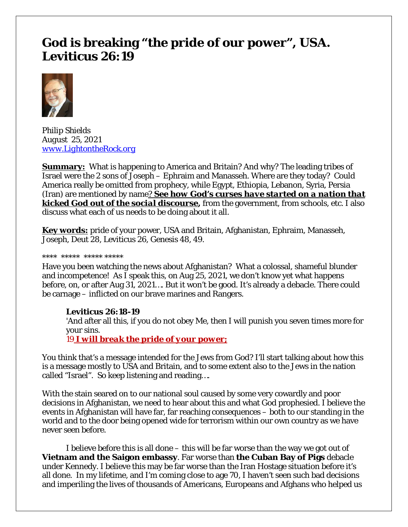## **God is breaking "the pride of our power", USA. Leviticus 26:19**



*Philip Shields August 25, 2021 [www.LightontheRock.org](http://www.lightontherock.org/)*

**Summary:** What is happening to America and Britain? And why? The leading tribes of Israel were the 2 sons of Joseph – Ephraim and Manasseh. Where are they today? Could America really be omitted from prophecy, while Egypt, Ethiopia, Lebanon, Syria, Persia (Iran) are mentioned by name*? See how God's curses have started on a nation that kicked God out of the social discourse***,** from the government, from schools, etc. I also discuss what each of us needs to be doing about it all.

**Key words:** pride of your power, USA and Britain, Afghanistan, Ephraim, Manasseh, Joseph, Deut 28, Leviticus 26, Genesis 48, 49.

#### \*\*\*\* \*\*\*\*\* \*\*\*\*\* \*\*\*\*\*

Have you been watching the news about Afghanistan? What a colossal, shameful blunder and incompetence! As I speak this, on Aug 25, 2021, we don't know yet what happens before, on, or after Aug 31, 2021…. But it won't be good. It's already a debacle. There could be carnage – inflicted on our brave marines and Rangers.

## **Leviticus 26:18-19**

'And after all this, if you do not obey Me, then I will punish you seven times more for your sins.

19 *I will break the pride of your power;*

You think that's a message intended for the Jews from God? I'll start talking about how this is a message mostly to USA and Britain, and to some extent also to the Jews in the nation called "Israel". So keep listening and reading….

With the stain seared on to our national soul caused by some very cowardly and poor decisions in Afghanistan, we need to hear about this and what God prophesied. I believe the events in Afghanistan will have far, far reaching consequences – both to our standing in the world and to the door being opened wide for terrorism within our own country as we have never seen before.

I believe before this is all done – this will be far worse than the way we got out of **Vietnam and the Saigon embassy**. Far worse than **the Cuban Bay of Pigs** debacle under Kennedy. I believe this may be far worse than the Iran Hostage situation before it's all done. In my lifetime, and I'm coming close to age 70, I haven't seen such bad decisions and imperiling the lives of thousands of Americans, Europeans and Afghans who helped us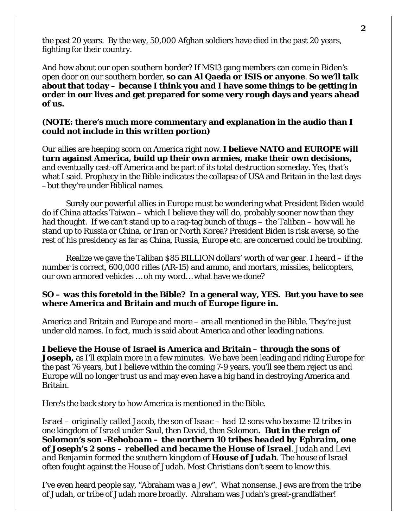the past 20 years. By the way, 50,000 Afghan soldiers have died in the past 20 years, fighting for their country.

And how about our open southern border? If MS13 gang members can come in Biden's open door on our southern border, **so can Al Qaeda or ISIS or anyone**. **So we'll talk about that today – because I think you and I have some things to be getting in order in our lives and get prepared for some very rough days and years ahead of us.** 

## **(NOTE: there's much more commentary and explanation in the audio than I could not include in this written portion)**

Our allies are heaping scorn on America right now. **I believe NATO and EUROPE will turn against America, build up their own armies, make their own decisions,** and eventually cast-off America and be part of its total destruction someday. Yes, that's what I said. Prophecy in the Bible indicates the collapse of USA and Britain in the last days –but they're under Biblical names.

Surely our powerful allies in Europe must be wondering what President Biden would do if China attacks Taiwan – which I believe they will do, probably sooner now than they had thought. If we can't stand up to a rag-tag bunch of thugs – the Taliban – how will he stand up to Russia or China, or Iran or North Korea? President Biden is risk averse, so the rest of his presidency as far as China, Russia, Europe etc. are concerned could be troubling.

Realize we gave the Taliban \$85 BILLION dollars' worth of war gear. I heard – if the number is correct, 600,000 rifles (AR-15) and ammo, and mortars, missiles, helicopters, our own armored vehicles … oh my word… what have we done?

## **SO – was this foretold in the Bible? In a general way, YES. But you have to see where America and Britain and much of Europe figure in.**

America and Britain and Europe and more – are all mentioned in the Bible. They're just under old names. In fact, much is said about America and other leading nations.

**I believe the House of Israel is America and Britain** – **through the sons of Joseph**, as I'll explain more in a few minutes. We have been leading and riding Europe for the past 76 years, but I believe within the coming 7-9 years, you'll see them reject us and Europe will no longer trust us and may even have a big hand in destroying America and Britain.

Here's the back story to how America is mentioned in the Bible.

*Israel – originally called Jacob, the son of Isaac – had 12 sons who became 12 tribes in one kingdom of Israel under Saul, then David, then Solomon. But in the reign of Solomon's son -Rehoboam – the northern 10 tribes headed by Ephraim, one of Joseph's 2 sons – rebelled and became the House of Israel. Judah and Levi and Benjamin formed the southern kingdom of House of Judah.* The house of Israel often fought against the House of Judah. Most Christians don't seem to know this.

I've even heard people say, "Abraham was a Jew". What nonsense. Jews are from the tribe of Judah, or tribe of Judah more broadly. Abraham was Judah's great-grandfather!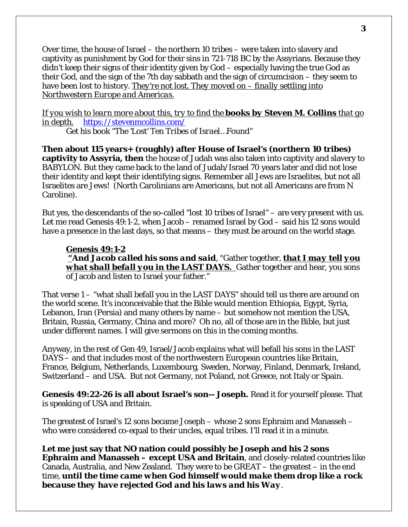Over time, the house of Israel – the northern 10 tribes – were taken into slavery and captivity as punishment by God for their sins in 721-718 BC by the Assyrians. Because they didn't keep their signs of their identity given by God – especially having the true God as their God, and the sign of the 7th day sabbath and the sign of circumcision – they seem to have been lost to history. *They're not lost. They moved on – finally settling into Northwestern Europe and Americas.* 

*If you wish to learn more about this, try to find the books by Steven M. Collins that go in depth. <https://stevenmcollins.com/>*

*Get his book "The 'Lost' Ten Tribes of Israel…Found"* 

**Then about 115 years+ (roughly) after House of Israel's (northern 10 tribes) captivity to Assyria, then** the house of Judah was also taken into captivity and slavery to BABYLON. But they came back to the land of Judah/Israel 70 years later and did not lose their identity and kept their identifying signs. Remember all Jews are Israelites, but not all Israelites are Jews! (North Carolinians are Americans, but not all Americans are from N Caroline).

But yes, the descendants of the so-called "lost 10 tribes of Israel" – are very present with us. Let me read Genesis 49:1-2, when Jacob – renamed Israel by God – said his 12 sons would have a presence in the last days, so that means – they must be around on the world stage.

**Genesis 49:1-2 "***And Jacob called his sons and said*, "Gather together, *that I may tell you what shall befall you in the LAST DAYS.* Gather together and hear, you sons of Jacob and listen to Israel your father."

That verse 1 – "what shall befall you in the LAST DAYS" should tell us there are around on the world scene. It's inconceivable that the Bible would mention Ethiopia, Egypt, Syria, Lebanon, Iran (Persia) and many others by name – but somehow not mention the USA, Britain, Russia, Germany, China and more? Oh no, all of those are in the Bible, but just under different names. I will give sermons on this in the coming months.

Anyway, in the rest of Gen 49, Israel/Jacob explains what will befall his sons in the LAST DAYS – and that includes most of the northwestern European countries like Britain, France, Belgium, Netherlands, Luxembourg, Sweden, Norway, Finland, Denmark, Ireland, Switzerland – and USA. But not Germany, not Poland, not Greece, not Italy or Spain.

**Genesis 49:22-26 is all about Israel's son-- Joseph.** Read it for yourself please. That is speaking of USA and Britain.

The greatest of Israel's 12 sons became Joseph – whose 2 sons Ephraim and Manasseh – who were considered co-equal to their uncles, equal tribes. I'll read it in a minute.

**Let me just say that NO nation could possibly be Joseph and his 2 sons Ephraim and Manasseh – except USA and Britain**, and closely-related countries like Canada, Australia, and New Zealand. They were to be GREAT – the greatest – in the end time, *until the time came when God himself would make them drop like a rock because they have rejected God and his laws and his Way*.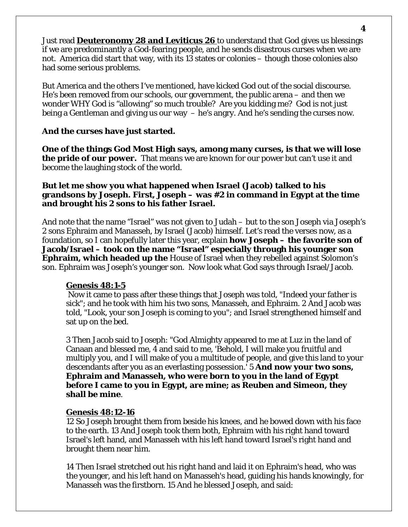Just read **Deuteronomy 28 and Leviticus 26** to understand that God gives us blessings if we are predominantly a God-fearing people, and he sends disastrous curses when we are not. America did start that way, with its 13 states or colonies – though those colonies also had some serious problems.

But America and the others I've mentioned, have kicked God out of the social discourse. He's been removed from our schools, our government, the public arena – and then we wonder WHY God is "allowing" so much trouble? Are you kidding me? God is not just being a Gentleman and giving us our way – he's angry. And he's sending the curses now.

## **And the curses have just started.**

**One of the things God Most High says, among many curses, is that we will lose the pride of our power.** That means we are known for our power but can't use it and become the laughing stock of the world.

## **But let me show you what happened when Israel (Jacob) talked to his grandsons by Joseph. First, Joseph – was #2 in command in Egypt at the time and brought his 2 sons to his father Israel.**

And note that the name "Israel" was not given to Judah – but to the son Joseph via Joseph's 2 sons Ephraim and Manasseh, by Israel (Jacob) himself. Let's read the verses now, as a foundation, so I can hopefully later this year, explain **how Joseph – the favorite son of Jacob/Israel – took on the name "Israel" especially through his younger son Ephraim, which headed up the** House of Israel when they rebelled against Solomon's son. Ephraim was Joseph's younger son. Now look what God says through Israel/Jacob.

## **Genesis 48:1-5**

Now it came to pass after these things that Joseph was told, "Indeed your father is sick"; and he took with him his two sons, Manasseh, and Ephraim. 2 And Jacob was told, "Look, your son Joseph is coming to you"; and Israel strengthened himself and sat up on the bed.

3 Then Jacob said to Joseph: "God Almighty appeared to me at Luz in the land of Canaan and blessed me, 4 and said to me, 'Behold, I will make you fruitful and multiply you, and I will make of you a multitude of people, and give this land to your descendants after you as an everlasting possession.' 5 **And now your two sons, Ephraim and Manasseh, who were born to you in the land of Egypt before I came to you in Egypt, are mine; as Reuben and Simeon, they shall be mine**.

#### **Genesis 48:12-16**

12 So Joseph brought them from beside his knees, and he bowed down with his face to the earth. 13 And Joseph took them both, Ephraim with his right hand toward Israel's left hand, and Manasseh with his left hand toward Israel's right hand and brought them near him.

14 Then Israel stretched out his right hand and laid it on Ephraim's head, who was the younger, and his left hand on Manasseh's head, guiding his hands knowingly, for Manasseh was the firstborn. 15 And he blessed Joseph, and said: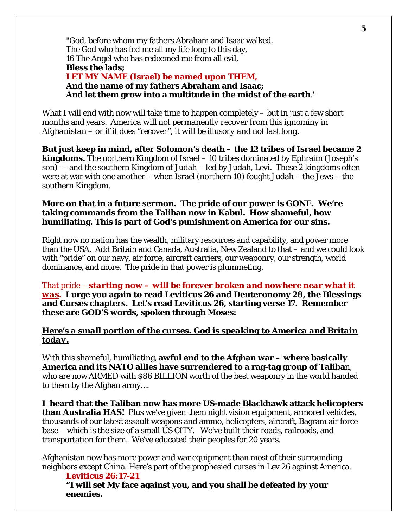"God, before whom my fathers Abraham and Isaac walked, The God who has fed me all my life long to this day, 16 The Angel who has redeemed me from all evil, **Bless the lads; LET MY NAME (Israel) be named upon THEM, And the name of my fathers Abraham and Isaac; And let them grow into a multitude in the midst of the earth**."

What I will end with now will take time to happen completely – but in just a few short months and years*. America will not permanently recover from this ignominy in Afghanistan – or if it does "recover", it will be illusory and not last long.*

**But just keep in mind, after Solomon's death – the 12 tribes of Israel became 2 kingdoms.** The northern Kingdom of Israel – 10 tribes dominated by Ephraim (Joseph's son) -- and the southern Kingdom of Judah – led by Judah, Levi. These 2 kingdoms often were at war with one another – when Israel (northern 10) fought Judah – the Jews – the southern Kingdom.

## **More on that in a future sermon. The pride of our power is GONE. We're taking commands from the Taliban now in Kabul. How shameful, how humiliating. This is part of God's punishment on America for our sins.**

Right now no nation has the wealth, military resources and capability, and power more than the USA. Add Britain and Canada, Australia, New Zealand to that – and we could look with "pride" on our navy, air force, aircraft carriers, our weaponry, our strength, world dominance, and more. The pride in that power is plummeting.

*That pride – starting now – will be forever broken and nowhere near what it was***. I urge you again to read Leviticus 26 and Deuteronomy 28, the Blessings and Curses chapters. Let's read Leviticus 26, starting verse 17. Remember these are GOD'S words, spoken through Moses:** 

## *Here's a small portion of the curses. God is speaking to America and Britain today.*

With this shameful, humiliating, **awful end to the Afghan war – where basically America and its NATO allies have surrendered to a rag-tag group of Taliba**n, who are now ARMED with \$86 BILLION worth of the best weaponry in the world handed to them by the Afghan army….

**I heard that the Taliban now has more US-made Blackhawk attack helicopters than Australia HAS!** Plus we've given them night vision equipment, armored vehicles, thousands of our latest assault weapons and ammo, helicopters, aircraft, Bagram air force base – which is the size of a small US CITY. We've built their roads, railroads, and transportation for them. We've educated their peoples for 20 years.

Afghanistan now has more power and war equipment than most of their surrounding neighbors except China. Here's part of the prophesied curses in Lev 26 against America.

**Leviticus 26:17-21 "I will set My face against you, and you shall be defeated by your enemies.**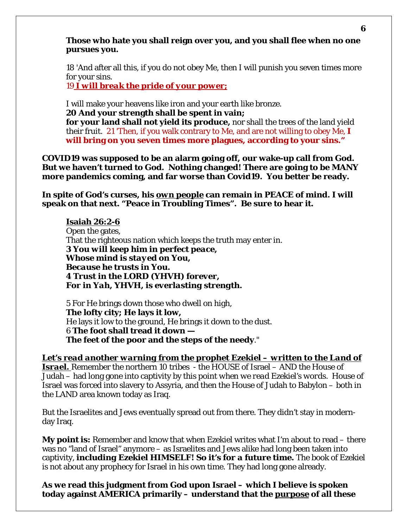## **Those who hate you shall reign over you, and you shall flee when no one pursues you.**

18 'And after all this, if you do not obey Me, then I will punish you seven times more for your sins.

19 *I will break the pride of your power;*

I will make your heavens like iron and your earth like bronze. **20 And your strength shall be spent in vain; for your land shall not yield its produce,** nor shall the trees of the land yield their fruit. 21 'Then, if you walk contrary to Me, and are not willing to obey Me, **I will bring on you seven times more plagues, according to your sins."**

**COVID19 was supposed to be an alarm going off, our wake-up call from God. But we haven't turned to God. Nothing changed! There are going to be MANY more pandemics coming, and far worse than Covid19. You better be ready.** 

**In spite of God's curses, his** *own people* **can remain in PEACE of mind. I will speak on that next. "Peace in Troubling Times". Be sure to hear it.** 

# **Isaiah 26:2-6**

Open the gates, That the righteous nation which keeps the truth may enter in. *3 You will keep him in perfect peace, Whose mind is stayed on You, Because he trusts in You. 4 Trust in the LORD (YHVH) forever, For in Yah, YHVH, is everlasting strength.* 

5 For He brings down those who dwell on high, **The lofty city; He lays it low,** He lays it low to the ground, He brings it down to the dust. 6 **The foot shall tread it down — The feet of the poor and the steps of the needy**."

*Let's read another warning from the prophet Ezekiel – written to the Land of Israel.* Remember the northern 10 tribes - the HOUSE of Israel – AND the House of Judah – had long gone into captivity by *this point when we read Ezekiel's words.* House of Israel was forced into slavery to Assyria, and then the House of Judah to Babylon – both in the LAND area known today as Iraq.

But the Israelites and Jews eventually spread out from there. They didn't stay in modernday Iraq.

**My point is:** Remember and know that when Ezekiel writes what I'm about to read – there was no "land of Israel" anymore – as Israelites and Jews alike had long been taken into captivity, *including Ezekiel HIMSELF! So it's for a future time.* The book of Ezekiel is not about any prophecy for Israel in his own time. They had long gone already.

**As we read this judgment from God upon Israel – which I believe is spoken today against AMERICA primarily – understand that the** *purpose* **of all these**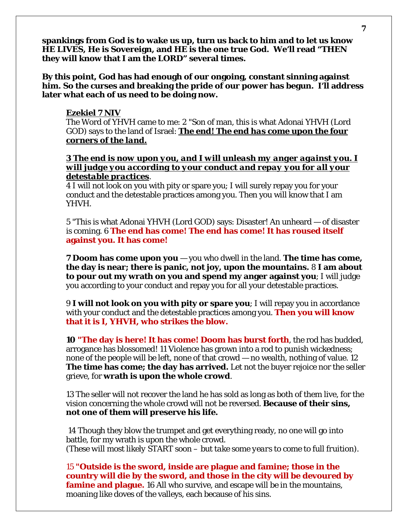**spankings from God is to wake us up, turn us back to him and to let us know HE LIVES, He is Sovereign, and HE is the one true God. We'll read "THEN they will know that I am the LORD" several times.** 

**By this point, God has had enough of our ongoing, constant sinning against him. So the curses and breaking the pride of our power has begun. I'll address later what each of us need to be doing now.** 

#### **Ezekiel 7 NIV**

The Word of YHVH came to me: 2 "Son of man, this is what Adonai YHVH (Lord GOD) says to the land of Israel: *The end! The end has come upon the four corners of the land.* 

## *3 The end is now upon you, and I will unleash my anger against you. I will judge you according to your conduct and repay you for all your detestable practices*.

4 I will not look on you with pity or spare you; I will surely repay you for your conduct and the detestable practices among you. Then you will know that I am YHVH.

5 "This is what Adonai YHVH (Lord GOD) says: Disaster! An unheard — of disaster is coming. 6 **The end has come! The end has come! It has roused itself against you. It has come!** 

**7 Doom has come upon you** — you who dwell in the land. **The time has come, the day is near; there is panic, not joy, upon the mountains.** 8 **I am about to pour out my wrath on you and spend my anger against you**; I will judge you according to your conduct and repay you for all your detestable practices.

9 **I will not look on you with pity or spare you**; I will repay you in accordance with your conduct and the detestable practices among you. **Then you will know that it is I, YHVH, who strikes the blow.** 

**10 "The day is here! It has come! Doom has burst forth**, the rod has budded, arrogance has blossomed! 11 Violence has grown into a rod to punish wickedness; none of the people will be left, none of that crowd — no wealth, nothing of value. 12 **The time has come; the day has arrived.** Let not the buyer rejoice nor the seller grieve, for **wrath is upon the whole crowd**.

13 The seller will not recover the land he has sold as long as both of them live, for the vision concerning the whole crowd will not be reversed. **Because of their sins, not one of them will preserve his life.**

14 Though they blow the trumpet and get everything ready, no one will go into battle, for my wrath is upon the whole crowd. *(These will most likely START soon – but take some years to come to full fruition).* 

15 **"Outside is the sword, inside are plague and famine; those in the country will die by the sword, and those in the city will be devoured by famine and plague.** 16 All who survive, and escape will be in the mountains, moaning like doves of the valleys, each because of his sins.